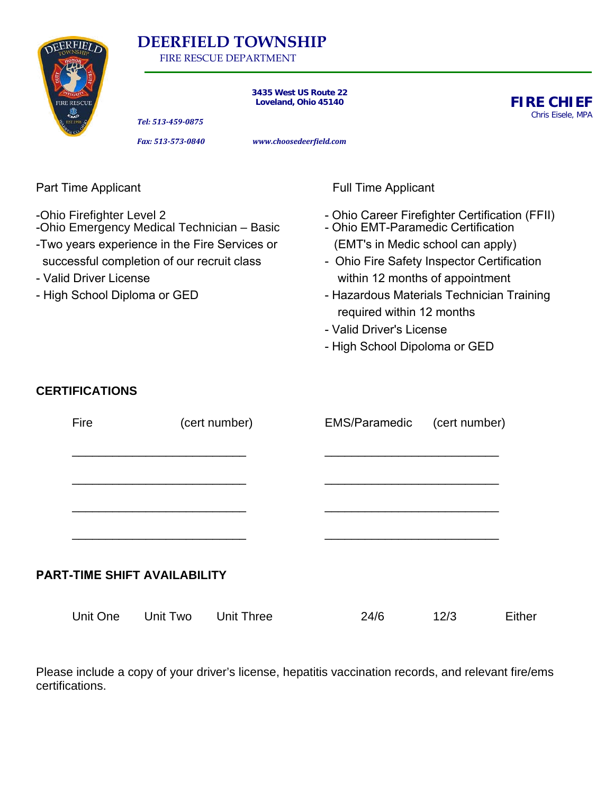

# **DEERFIELD TOWNSHIP**

FIRE RESCUE DEPARTMENT

**3435 West US Route 22 Loveland, Ohio 45140**

**FIRE CHIEF** Chris Eisele, MPA

*Tel: 513-459-0875*

*Fax: 513-573-0840 www.choosedeerfield.com*

| <b>Part Time Applicant</b>                                                                                                                                                                                                       |                       |                                     |                                                                                                                                                                                                                                                                                                                                                   | <b>Full Time Applicant</b> |               |        |  |  |
|----------------------------------------------------------------------------------------------------------------------------------------------------------------------------------------------------------------------------------|-----------------------|-------------------------------------|---------------------------------------------------------------------------------------------------------------------------------------------------------------------------------------------------------------------------------------------------------------------------------------------------------------------------------------------------|----------------------------|---------------|--------|--|--|
| -Ohio Firefighter Level 2<br>-Ohio Emergency Medical Technician - Basic<br>-Two years experience in the Fire Services or<br>successful completion of our recruit class<br>- Valid Driver License<br>- High School Diploma or GED |                       |                                     | - Ohio Career Firefighter Certification (FFII)<br>- Ohio EMT-Paramedic Certification<br>(EMT's in Medic school can apply)<br>- Ohio Fire Safety Inspector Certification<br>within 12 months of appointment<br>- Hazardous Materials Technician Training<br>required within 12 months<br>- Valid Driver's License<br>- High School Dipoloma or GED |                            |               |        |  |  |
|                                                                                                                                                                                                                                  | <b>CERTIFICATIONS</b> |                                     |                                                                                                                                                                                                                                                                                                                                                   |                            |               |        |  |  |
|                                                                                                                                                                                                                                  | Fire                  |                                     | (cert number)                                                                                                                                                                                                                                                                                                                                     | <b>EMS/Paramedic</b>       | (cert number) |        |  |  |
|                                                                                                                                                                                                                                  |                       | <b>PART-TIME SHIFT AVAILABILITY</b> |                                                                                                                                                                                                                                                                                                                                                   |                            |               |        |  |  |
|                                                                                                                                                                                                                                  | <b>Unit One</b>       | Unit Two                            | <b>Unit Three</b>                                                                                                                                                                                                                                                                                                                                 | 24/6                       | 12/3          | Either |  |  |

Please include a copy of your driver's license, hepatitis vaccination records, and relevant fire/ems certifications.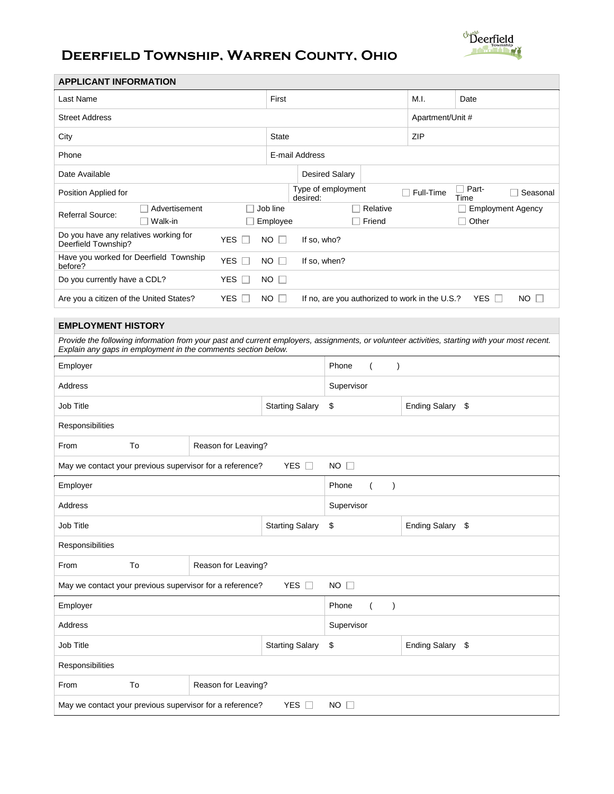

# **Deerfield Township, Warren County, Ohio**

| <b>APPLICANT INFORMATION</b>                                                                                                                                                                                   |                        |                      |                |                                      |                      |                                                |                                   |  |
|----------------------------------------------------------------------------------------------------------------------------------------------------------------------------------------------------------------|------------------------|----------------------|----------------|--------------------------------------|----------------------|------------------------------------------------|-----------------------------------|--|
| Last Name                                                                                                                                                                                                      |                        |                      | First          |                                      |                      | M.I.                                           | Date                              |  |
| <b>Street Address</b>                                                                                                                                                                                          |                        |                      |                |                                      |                      | Apartment/Unit #                               |                                   |  |
| City                                                                                                                                                                                                           | State                  |                      |                |                                      | ZIP                  |                                                |                                   |  |
| Phone                                                                                                                                                                                                          |                        |                      | E-mail Address |                                      |                      |                                                |                                   |  |
| Date Available                                                                                                                                                                                                 |                        |                      |                | <b>Desired Salary</b>                |                      |                                                |                                   |  |
| Position Applied for                                                                                                                                                                                           |                        |                      | desired:       | Type of employment                   |                      | Full-Time                                      | Part-<br>Seasonal<br>Time         |  |
| Advertisement<br>Referral Source:<br>Walk-in<br>$\Box$                                                                                                                                                         |                        | Job line<br>Employee |                | $\Box$<br>П                          | Relative<br>Friend   |                                                | <b>Employment Agency</b><br>Other |  |
| Do you have any relatives working for<br>Deerfield Township?                                                                                                                                                   | YES $\square$          | $NO$ $\Box$          | If so, who?    |                                      |                      |                                                |                                   |  |
| Have you worked for Deerfield Township<br>before?                                                                                                                                                              | YES $\square$          | $NO$ $\Box$          | If so, when?   |                                      |                      |                                                |                                   |  |
| Do you currently have a CDL?                                                                                                                                                                                   | YES $\square$          | $NO$ $\Box$          |                |                                      |                      |                                                |                                   |  |
| Are you a citizen of the United States?                                                                                                                                                                        | YES $\square$          | <b>NO</b>            |                |                                      |                      | If no, are you authorized to work in the U.S.? | YES $\Box$<br><b>NO</b><br>$\Box$ |  |
| <b>EMPLOYMENT HISTORY</b>                                                                                                                                                                                      |                        |                      |                |                                      |                      |                                                |                                   |  |
| Provide the following information from your past and current employers, assignments, or volunteer activities, starting with your most recent.<br>Explain any gaps in employment in the comments section below. |                        |                      |                |                                      |                      |                                                |                                   |  |
| Employer                                                                                                                                                                                                       |                        |                      |                | Phone<br>$\mathcal{E}$               |                      |                                                |                                   |  |
| Address                                                                                                                                                                                                        |                        |                      |                | Supervisor                           |                      |                                                |                                   |  |
| Job Title<br><b>Starting Salary</b>                                                                                                                                                                            |                        |                      |                | \$                                   |                      | Ending Salary \$                               |                                   |  |
| Responsibilities                                                                                                                                                                                               |                        |                      |                |                                      |                      |                                                |                                   |  |
| To<br>From                                                                                                                                                                                                     | Reason for Leaving?    |                      |                |                                      |                      |                                                |                                   |  |
| YES $\Box$<br>$NO$ $\Box$<br>May we contact your previous supervisor for a reference?                                                                                                                          |                        |                      |                |                                      |                      |                                                |                                   |  |
| Phone<br>Employer<br>$\lambda$                                                                                                                                                                                 |                        |                      |                |                                      |                      |                                                |                                   |  |
| Address                                                                                                                                                                                                        |                        |                      |                |                                      | Supervisor           |                                                |                                   |  |
| Job Title                                                                                                                                                                                                      | <b>Starting Salary</b> |                      | \$             |                                      | <b>Ending Salary</b> | \$                                             |                                   |  |
| Responsibilities                                                                                                                                                                                               |                        |                      |                |                                      |                      |                                                |                                   |  |
| To<br>Reason for Leaving?<br>From                                                                                                                                                                              |                        |                      |                |                                      |                      |                                                |                                   |  |
| $NO$ $\square$<br>May we contact your previous supervisor for a reference?<br>YES $\square$                                                                                                                    |                        |                      |                |                                      |                      |                                                |                                   |  |
| Employer                                                                                                                                                                                                       |                        |                      |                | Phone<br>$\lambda$<br>$\overline{ }$ |                      |                                                |                                   |  |
| Address                                                                                                                                                                                                        |                        |                      |                |                                      | Supervisor           |                                                |                                   |  |
| <b>Starting Salary</b><br>Job Title                                                                                                                                                                            |                        |                      |                | \$                                   |                      | Ending Salary \$                               |                                   |  |
| Responsibilities                                                                                                                                                                                               |                        |                      |                |                                      |                      |                                                |                                   |  |
| To<br>Reason for Leaving?<br>From                                                                                                                                                                              |                        |                      |                |                                      |                      |                                                |                                   |  |
| May we contact your previous supervisor for a reference?<br>YES $\Box$<br>$NO$ $\Box$                                                                                                                          |                        |                      |                |                                      |                      |                                                |                                   |  |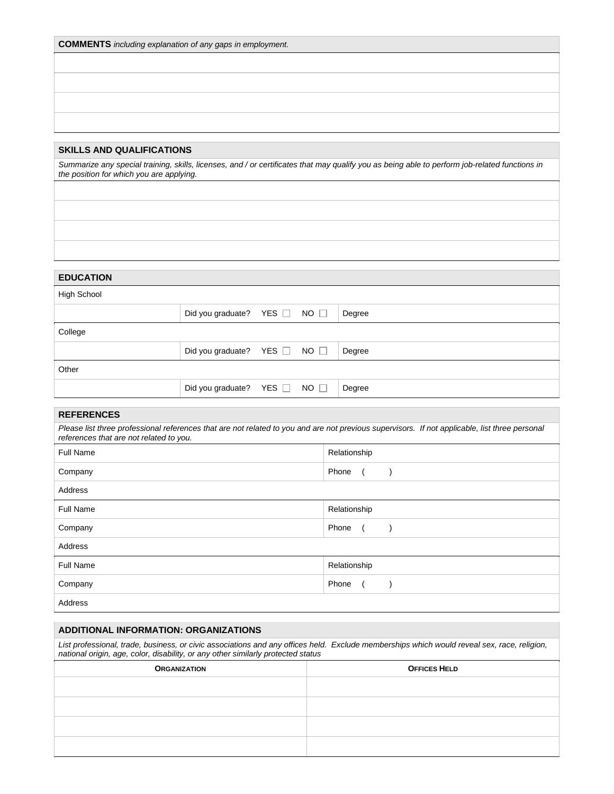| <b>COMMENTS</b> including explanation of any gaps in employment. |  |  |  |
|------------------------------------------------------------------|--|--|--|
|------------------------------------------------------------------|--|--|--|

# **SKILLS AND QUALIFICATIONS**

*Summarize any special training, skills, licenses, and / or certificates that may qualify you as being able to perform job-related functions in the position for which you are applying.*

# **EDUCATION**

| <b>High School</b> |                              |  |  |        |  |
|--------------------|------------------------------|--|--|--------|--|
|                    | Did you graduate? YES □ NO □ |  |  | Degree |  |
| College            |                              |  |  |        |  |
|                    | Did you graduate? YES □ NO □ |  |  | Degree |  |
| Other              |                              |  |  |        |  |
|                    | Did you graduate? YES NO     |  |  | Degree |  |

# **REFERENCES**

| Please list three professional references that are not related to you and are not previous supervisors. If not applicable, list three personal<br>references that are not related to you. |              |  |  |  |  |
|-------------------------------------------------------------------------------------------------------------------------------------------------------------------------------------------|--------------|--|--|--|--|
| Full Name                                                                                                                                                                                 | Relationship |  |  |  |  |
| Company                                                                                                                                                                                   | Phone        |  |  |  |  |
| Address                                                                                                                                                                                   |              |  |  |  |  |
| <b>Full Name</b>                                                                                                                                                                          | Relationship |  |  |  |  |
| Company                                                                                                                                                                                   | Phone        |  |  |  |  |

| Address   |              |  |  |  |
|-----------|--------------|--|--|--|
| Full Name | Relationship |  |  |  |
| Company   | Phone        |  |  |  |
| Address.  |              |  |  |  |

Address

# **ADDITIONAL INFORMATION: ORGANIZATIONS**

*List professional, trade, business, or civic associations and any offices held. Exclude memberships which would reveal sex, race, religion, national origin, age, color, disability, or any other similarly protected status*

| <b>ORGANIZATION</b> | <b>OFFICES HELD</b> |
|---------------------|---------------------|
|                     |                     |
|                     |                     |
|                     |                     |
|                     |                     |